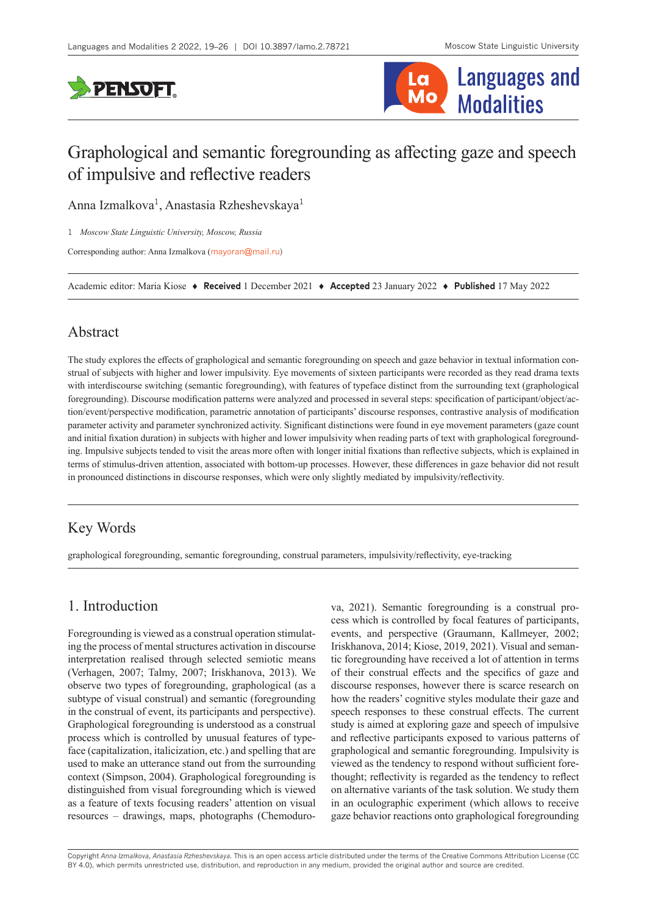



# Graphological and semantic foregrounding as affecting gaze and speech of impulsive and reflective readers

Anna Izmalkova<sup>1</sup>, Anastasia Rzheshevskaya<sup>1</sup>

1 *Moscow State Linguistic University, Moscow, Russia*

Corresponding author: Anna Izmalkova ([mayoran@mail.ru](mailto:mayoran@mail.ru))

Academic editor: Maria Kiose ♦ **Received** 1 December 2021 ♦ **Accepted** 23 January 2022 ♦ **Published** 17 May 2022

### Abstract

The study explores the effects of graphological and semantic foregrounding on speech and gaze behavior in textual information construal of subjects with higher and lower impulsivity. Eye movements of sixteen participants were recorded as they read drama texts with interdiscourse switching (semantic foregrounding), with features of typeface distinct from the surrounding text (graphological foregrounding). Discourse modification patterns were analyzed and processed in several steps: specification of participant/object/action/event/perspective modification, parametric annotation of participants' discourse responses, contrastive analysis of modification parameter activity and parameter synchronized activity. Significant distinctions were found in eye movement parameters (gaze count and initial fixation duration) in subjects with higher and lower impulsivity when reading parts of text with graphological foregrounding. Impulsive subjects tended to visit the areas more often with longer initial fixations than reflective subjects, which is explained in terms of stimulus-driven attention, associated with bottom-up processes. However, these differences in gaze behavior did not result in pronounced distinctions in discourse responses, which were only slightly mediated by impulsivity/reflectivity.

## Key Words

graphological foregrounding, semantic foregrounding, construal parameters, impulsivity/reflectivity, eye-tracking

## 1. Introduction

Foregrounding is viewed as a construal operation stimulating the process of mental structures activation in discourse interpretation realised through selected semiotic means (Verhagen, 2007; Talmy, 2007; Iriskhanova, 2013). We observe two types of foregrounding, graphological (as a subtype of visual construal) and semantic (foregrounding in the construal of event, its participants and perspective). Graphological foregrounding is understood as a construal process which is controlled by unusual features of typeface (capitalization, italicization, etc.) and spelling that are used to make an utterance stand out from the surrounding context (Simpson, 2004). Graphological foregrounding is distinguished from visual foregrounding which is viewed as a feature of texts focusing readers' attention on visual resources – drawings, maps, photographs (Chemodurova, 2021). Semantic foregrounding is a construal process which is controlled by focal features of participants, events, and perspective (Graumann, Kallmeyer, 2002; Iriskhanova, 2014; Kiose, 2019, 2021). Visual and semantic foregrounding have received a lot of attention in terms of their construal effects and the specifics of gaze and discourse responses, however there is scarce research on how the readers' cognitive styles modulate their gaze and speech responses to these construal effects. The current study is aimed at exploring gaze and speech of impulsive and reflective participants exposed to various patterns of graphological and semantic foregrounding. Impulsivity is viewed as the tendency to respond without sufficient forethought; reflectivity is regarded as the tendency to reflect on alternative variants of the task solution. We study them in an oculographic experiment (which allows to receive gaze behavior reactions onto graphological foregrounding

Copyright *Anna Izmalkova, Anastasia Rzheshevskaya.* This is an open access article distributed under the terms of the [Creative Commons Attribution License \(CC](http://creativecommons.org/licenses/by/4.0/)  [BY 4.0\),](http://creativecommons.org/licenses/by/4.0/) which permits unrestricted use, distribution, and reproduction in any medium, provided the original author and source are credited.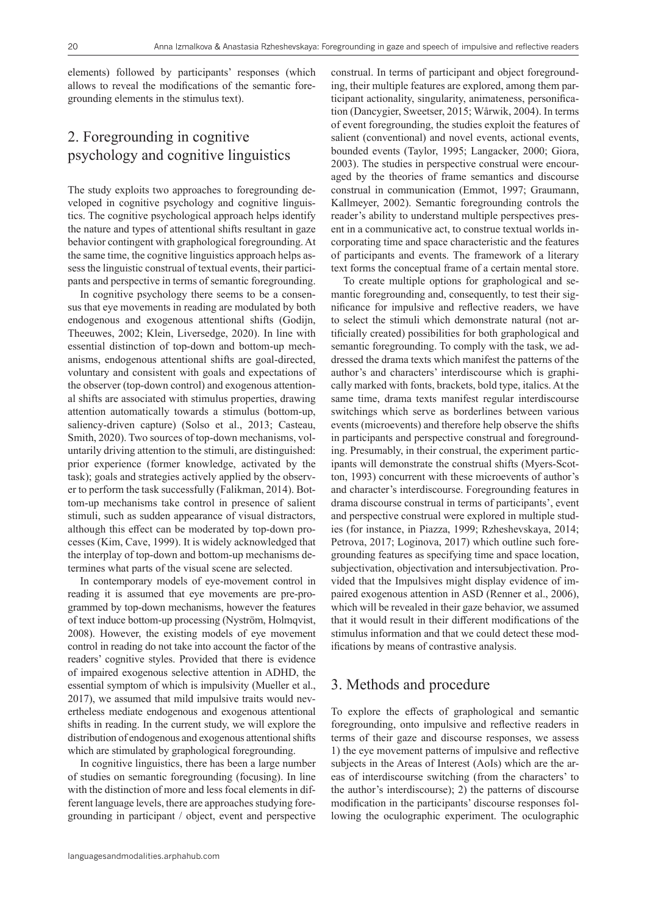elements) followed by participants' responses (which allows to reveal the modifications of the semantic foregrounding elements in the stimulus text).

## 2. Foregrounding in cognitive psychology and cognitive linguistics

The study exploits two approaches to foregrounding developed in cognitive psychology and cognitive linguistics. The cognitive psychological approach helps identify the nature and types of attentional shifts resultant in gaze behavior contingent with graphological foregrounding. At the same time, the cognitive linguistics approach helps assess the linguistic construal of textual events, their participants and perspective in terms of semantic foregrounding.

In cognitive psychology there seems to be a consensus that eye movements in reading are modulated by both endogenous and exogenous attentional shifts (Godijn, Theeuwes, 2002; Klein, Liversedge, 2020). In line with essential distinction of top-down and bottom-up mechanisms, endogenous attentional shifts are goal-directed, voluntary and consistent with goals and expectations of the observer (top-down control) and exogenous attentional shifts are associated with stimulus properties, drawing attention automatically towards a stimulus (bottom-up, saliency-driven capture) (Solso et al., 2013; Casteau, Smith, 2020). Two sources of top-down mechanisms, voluntarily driving attention to the stimuli, are distinguished: prior experience (former knowledge, activated by the task); goals and strategies actively applied by the observer to perform the task successfully (Falikman, 2014). Bottom-up mechanisms take control in presence of salient stimuli, such as sudden appearance of visual distractors, although this effect can be moderated by top-down processes (Kim, Cave, 1999). It is widely acknowledged that the interplay of top-down and bottom-up mechanisms determines what parts of the visual scene are selected.

In contemporary models of eye-movement control in reading it is assumed that eye movements are pre-programmed by top-down mechanisms, however the features of text induce bottom-up processing (Nyström, Holmqvist, 2008). However, the existing models of eye movement control in reading do not take into account the factor of the readers' cognitive styles. Provided that there is evidence of impaired exogenous selective attention in ADHD, the essential symptom of which is impulsivity (Mueller et al., 2017), we assumed that mild impulsive traits would nevertheless mediate endogenous and exogenous attentional shifts in reading. In the current study, we will explore the distribution of endogenous and exogenous attentional shifts which are stimulated by graphological foregrounding.

In cognitive linguistics, there has been a large number of studies on semantic foregrounding (focusing). In line with the distinction of more and less focal elements in different language levels, there are approaches studying foregrounding in participant / object, event and perspective

construal. In terms of participant and object foregrounding, their multiple features are explored, among them participant actionality, singularity, animateness, personification (Dancygier, Sweetser, 2015; Wårwik, 2004). In terms of event foregrounding, the studies exploit the features of salient (conventional) and novel events, actional events, bounded events (Taylor, 1995; Langacker, 2000; Giora, 2003). The studies in perspective construal were encouraged by the theories of frame semantics and discourse construal in communication (Emmot, 1997; Graumann, Kallmeyer, 2002). Semantic foregrounding controls the reader's ability to understand multiple perspectives present in a communicative act, to construe textual worlds incorporating time and space characteristic and the features of participants and events. The framework of a literary text forms the conceptual frame of a certain mental store.

To create multiple options for graphological and semantic foregrounding and, consequently, to test their significance for impulsive and reflective readers, we have to select the stimuli which demonstrate natural (not artificially created) possibilities for both graphological and semantic foregrounding. To comply with the task, we addressed the drama texts which manifest the patterns of the author's and characters' interdiscourse which is graphically marked with fonts, brackets, bold type, italics. At the same time, drama texts manifest regular interdiscourse switchings which serve as borderlines between various events (microevents) and therefore help observe the shifts in participants and perspective construal and foregrounding. Presumably, in their construal, the experiment participants will demonstrate the construal shifts (Myers-Scotton, 1993) concurrent with these microevents of author's and character's interdiscourse. Foregrounding features in drama discourse construal in terms of participants', event and perspective construal were explored in multiple studies (for instance, in Piazza, 1999; Rzheshevskaya, 2014; Petrova, 2017; Loginova, 2017) which outline such foregrounding features as specifying time and space location, subjectivation, objectivation and intersubjectivation. Provided that the Impulsives might display evidence of impaired exogenous attention in ASD (Renner et al., 2006), which will be revealed in their gaze behavior, we assumed that it would result in their different modifications of the stimulus information and that we could detect these modifications by means of contrastive analysis.

#### 3. Methods and procedure

To explore the effects of graphological and semantic foregrounding, onto impulsive and reflective readers in terms of their gaze and discourse responses, we assess 1) the eye movement patterns of impulsive and reflective subjects in the Areas of Interest (AoIs) which are the areas of interdiscourse switching (from the characters' to the author's interdiscourse); 2) the patterns of discourse modification in the participants' discourse responses following the oculographic experiment. The oculographic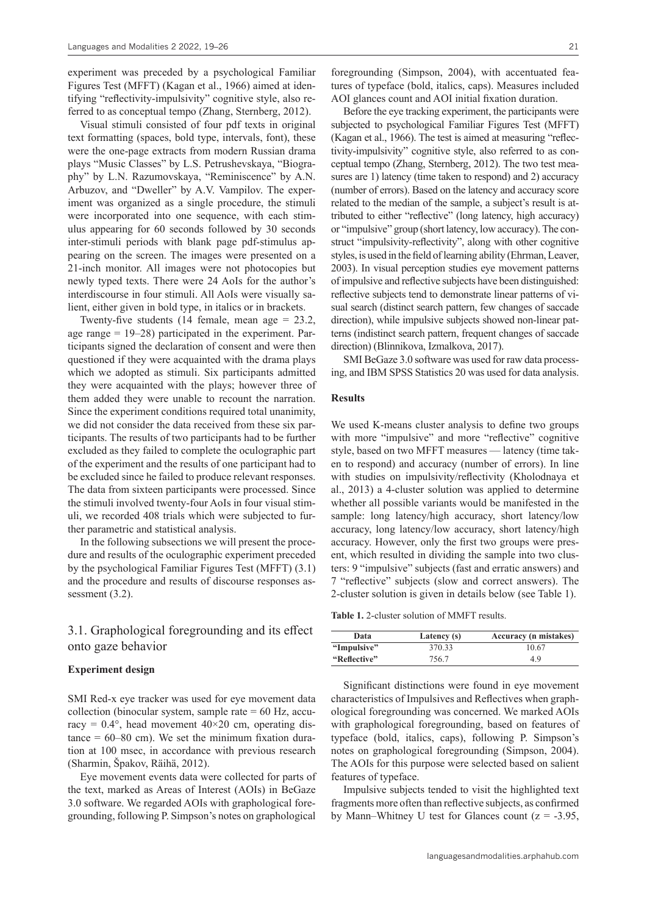experiment was preceded by a psychological Familiar Figures Test (MFFT) (Kagan et al., 1966) aimed at identifying "reflectivity-impulsivity" cognitive style, also referred to as conceptual tempo (Zhang, Sternberg, 2012).

Visual stimuli consisted of four pdf texts in original text formatting (spaces, bold type, intervals, font), these were the one-page extracts from modern Russian drama plays "Music Classes" by L.S. Petrushevskaya, "Biography" by L.N. Razumovskaya, "Reminiscence" by A.N. Arbuzov, and "Dweller" by A.V. Vampilov. The experiment was organized as a single procedure, the stimuli were incorporated into one sequence, with each stimulus appearing for 60 seconds followed by 30 seconds inter-stimuli periods with blank page pdf-stimulus appearing on the screen. The images were presented on a 21-inch monitor. All images were not photocopies but newly typed texts. There were 24 AoIs for the author's interdiscourse in four stimuli. All AoIs were visually salient, either given in bold type, in italics or in brackets.

Twenty-five students (14 female, mean age  $= 23.2$ , age range  $= 19-28$ ) participated in the experiment. Participants signed the declaration of consent and were then questioned if they were acquainted with the drama plays which we adopted as stimuli. Six participants admitted they were acquainted with the plays; however three of them added they were unable to recount the narration. Since the experiment conditions required total unanimity, we did not consider the data received from these six participants. The results of two participants had to be further excluded as they failed to complete the oculographic part of the experiment and the results of one participant had to be excluded since he failed to produce relevant responses. The data from sixteen participants were processed. Since the stimuli involved twenty-four AoIs in four visual stimuli, we recorded 408 trials which were subjected to further parametric and statistical analysis.

In the following subsections we will present the procedure and results of the oculographic experiment preceded by the psychological Familiar Figures Test (MFFT) (3.1) and the procedure and results of discourse responses assessment  $(3.2)$ .

### 3.1. Graphological foregrounding and its effect onto gaze behavior

#### **Experiment design**

SMI Red-x eye tracker was used for eye movement data collection (binocular system, sample rate  $= 60$  Hz, accuracy =  $0.4^{\circ}$ , head movement  $40 \times 20$  cm, operating dis $tance = 60-80$  cm). We set the minimum fixation duration at 100 msec, in accordance with previous research (Sharmin, Špakov, Räihä, 2012).

Eye movement events data were collected for parts of the text, marked as Areas of Interest (AOIs) in BeGaze 3.0 software. We regarded AOIs with graphological foregrounding, following P. Simpson's notes on graphological

foregrounding (Simpson, 2004), with accentuated features of typeface (bold, italics, caps). Measures included AOI glances count and AOI initial fixation duration.

Before the eye tracking experiment, the participants were subjected to psychological Familiar Figures Test (MFFT) (Kagan et al., 1966). The test is aimed at measuring "reflectivity-impulsivity" cognitive style, also referred to as conceptual tempo (Zhang, Sternberg, 2012). The two test measures are 1) latency (time taken to respond) and 2) accuracy (number of errors). Based on the latency and accuracy score related to the median of the sample, a subject's result is attributed to either "reflective" (long latency, high accuracy) or "impulsive" group (short latency, low accuracy). The construct "impulsivity-reflectivity", along with other cognitive styles, is used in the field of learning ability (Ehrman, Leaver, 2003). In visual perception studies eye movement patterns of impulsive and reflective subjects have been distinguished: reflective subjects tend to demonstrate linear patterns of visual search (distinct search pattern, few changes of saccade direction), while impulsive subjects showed non-linear patterns (indistinct search pattern, frequent changes of saccade direction) (Blinnikova, Izmalkova, 2017).

SMI BeGaze 3.0 software was used for raw data processing, and IBM SPSS Statistics 20 was used for data analysis.

#### **Results**

We used K-means cluster analysis to define two groups with more "impulsive" and more "reflective" cognitive style, based on two MFFT measures — latency (time taken to respond) and accuracy (number of errors). In line with studies on impulsivity/reflectivity (Kholodnaya et al., 2013) a 4-cluster solution was applied to determine whether all possible variants would be manifested in the sample: long latency/high accuracy, short latency/low accuracy, long latency/low accuracy, short latency/high accuracy. However, only the first two groups were present, which resulted in dividing the sample into two clusters: 9 "impulsive" subjects (fast and erratic answers) and 7 "reflective" subjects (slow and correct answers). The 2-cluster solution is given in details below (see Table 1).

**Table 1.** 2-cluster solution of MMFT results.

| Data         | Latency (s) | <b>Accuracy</b> ( <i>n</i> mistakes) |
|--------------|-------------|--------------------------------------|
| "Impulsive"  | 370.33      | 10.67                                |
| "Reflective" | 756.7       | 4.9                                  |

Significant distinctions were found in eye movement characteristics of Impulsives and Reflectives when graphological foregrounding was concerned. We marked AOIs with graphological foregrounding, based on features of typeface (bold, italics, caps), following P. Simpson's notes on graphological foregrounding (Simpson, 2004). The AOIs for this purpose were selected based on salient features of typeface.

Impulsive subjects tended to visit the highlighted text fragments more often than reflective subjects, as confirmed by Mann–Whitney U test for Glances count  $(z = -3.95,$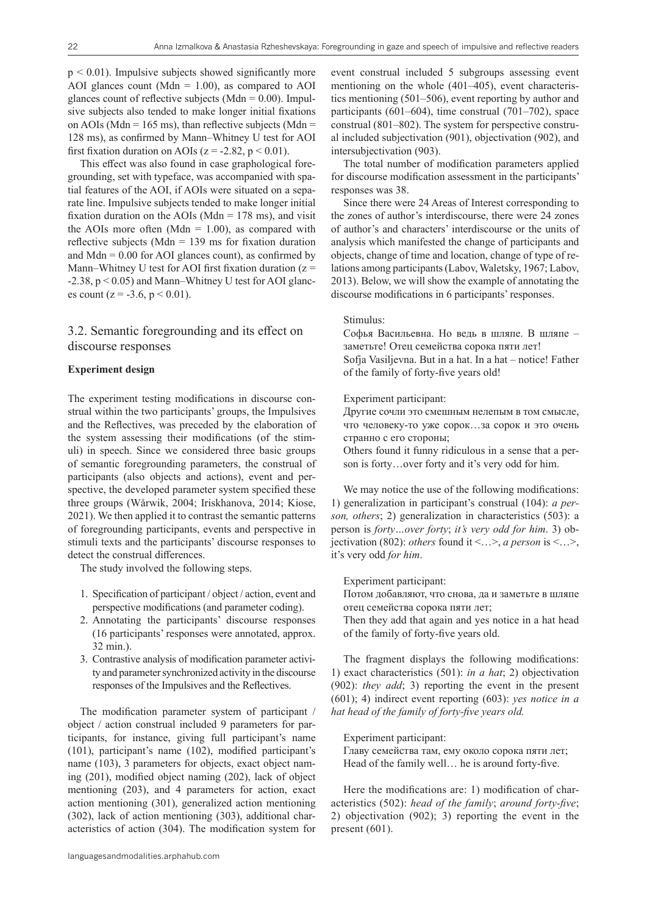$p \leq 0.01$ ). Impulsive subjects showed significantly more AOI glances count (Mdn =  $1.00$ ), as compared to AOI glances count of reflective subjects (Mdn =  $0.00$ ). Impulsive subjects also tended to make longer initial fixations on AOIs (Mdn = 165 ms), than reflective subjects (Mdn = 128 ms), as confirmed by Mann–Whitney U test for AOI first fixation duration on AOIs ( $z = -2.82$ ,  $p < 0.01$ ).

This effect was also found in case graphological foregrounding, set with typeface, was accompanied with spatial features of the AOI, if AOIs were situated on a separate line. Impulsive subjects tended to make longer initial fixation duration on the AOIs (Mdn  $= 178$  ms), and visit the AOIs more often (Mdn =  $1.00$ ), as compared with reflective subjects (Mdn  $= 139$  ms for fixation duration and  $Mdn = 0.00$  for AOI glances count), as confirmed by Mann–Whitney U test for AOI first fixation duration  $(z =$ -2.38, p < 0.05) and Mann–Whitney U test for AOI glances count ( $z = -3.6$ ,  $p < 0.01$ ).

#### 3.2. Semantic foregrounding and its effect on discourse responses

#### **Experiment design**

The experiment testing modifications in discourse construal within the two participants' groups, the Impulsives and the Reflectives, was preceded by the elaboration of the system assessing their modifications (of the stimuli) in speech. Since we considered three basic groups of semantic foregrounding parameters, the construal of participants (also objects and actions), event and perspective, the developed parameter system specified these three groups (Wårwik, 2004; Iriskhanova, 2014; Kiose, 2021). We then applied it to contrast the semantic patterns of foregrounding participants, events and perspective in stimuli texts and the participants' discourse responses to detect the construal differences.

The study involved the following steps.

- 1. Specification of participant / object / action, event and perspective modifications (and parameter coding).
- 2. Annotating the participants' discourse responses (16 participants' responses were annotated, approx. 32 min.).
- 3. Contrastive analysis of modification parameter activity and parameter synchronized activity in the discourse responses of the Impulsives and the Reflectives.

The modification parameter system of participant / object / action construal included 9 parameters for participants, for instance, giving full participant's name (101), participant's name (102), modified participant's name (103), 3 parameters for objects, exact object naming (201), modified object naming (202), lack of object mentioning (203), and 4 parameters for action, exact action mentioning (301), generalized action mentioning (302), lack of action mentioning (303), additional characteristics of action (304). The modification system for

event construal included 5 subgroups assessing event mentioning on the whole (401–405), event characteristics mentioning (501–506), event reporting by author and participants (601–604), time construal (701–702), space construal (801–802). The system for perspective construal included subjectivation (901), objectivation (902), and intersubjectivation (903).

The total number of modification parameters applied for discourse modification assessment in the participants' responses was 38.

Since there were 24 Areas of Interest corresponding to the zones of author's interdiscourse, there were 24 zones of author's and characters' interdiscourse or the units of analysis which manifested the change of participants and objects, change of time and location, change of type of relations among participants (Labov, Waletsky, 1967; Labov, 2013). Below, we will show the example of annotating the discourse modifications in 6 participants' responses.

#### Stimulus:

Софья Васильевна. Но ведь в шляпе. В шляпе – заметьте! Отец семейства сорока пяти лет! Sofja Vasiljevna. But in a hat. In a hat – notice! Father of the family of forty-five years old!

#### Experiment participant:

Другие сочли это смешным нелепым в том смысле, что человеку-то уже сорок…за сорок и это очень странно с его стороны;

Others found it funny ridiculous in a sense that a person is forty…over forty and it's very odd for him.

We may notice the use of the following modifications: 1) generalization in participant's construal (104): *a person, others*; 2) generalization in characteristics (503): a person is *forty…over forty*; *it's very odd for him*. 3) objectivation (802): *others* found it <…>, *a person* is <…>, it's very odd *for him*.

Experiment participant:

Потом добавляют, что снова, да и заметьте в шляпе отец семейства сорока пяти лет;

Then they add that again and yes notice in a hat head of the family of forty-five years old.

The fragment displays the following modifications: 1) exact characteristics (501): *in a hat*; 2) objectivation (902): *they add*; 3) reporting the event in the present (601); 4) indirect event reporting (603): *yes notice in a hat head of the family of forty-five years old.*

Experiment participant:

Главу семейства там, ему около сорока пяти лет; Head of the family well… he is around forty-five.

Here the modifications are: 1) modification of characteristics (502): *head of the family*; *around forty-five*; 2) objectivation (902); 3) reporting the event in the present  $(601)$ .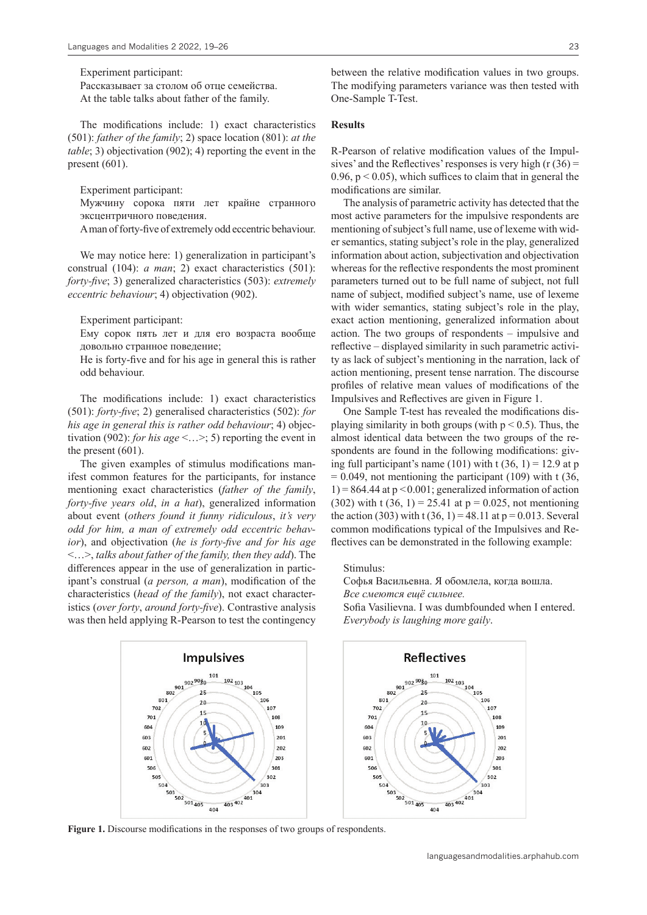Experiment participant: Рассказывает за столом об отце семейства.

At the table talks about father of the family.

The modifications include: 1) exact characteristics (501): *father of the family*; 2) space location (801): *at the table*; 3) objectivation (902); 4) reporting the event in the present (601).

Experiment participant:

Мужчину сорока пяти лет крайне странного эксцентричного поведения.

A man of forty-five of extremely odd eccentric behaviour.

We may notice here: 1) generalization in participant's construal (104): *a man*; 2) exact characteristics (501): *forty-five*; 3) generalized characteristics (503): *extremely eccentric behaviour*; 4) objectivation (902).

Experiment participant:

Ему сорок пять лет и для его возраста вообще довольно странное поведение;

He is forty-five and for his age in general this is rather odd behaviour.

The modifications include: 1) exact characteristics (501): *forty-five*; 2) generalised characteristics (502): *for his age in general this is rather odd behaviour*; 4) objectivation (902): *for his age* <…>; 5) reporting the event in the present (601).

The given examples of stimulus modifications manifest common features for the participants, for instance mentioning exact characteristics (*father of the family*, *forty-five years old*, *in a hat*), generalized information about event (*others found it funny ridiculous*, *it's very odd for him, a man of extremely odd eccentric behavior*), and objectivation (*he is forty-five and for his age* <…>, *talks about father of the family, then they add*). The differences appear in the use of generalization in participant's construal (*a person, a man*), modification of the characteristics (*head of the family*), not exact characteristics (*over forty*, *around forty-five*). Contrastive analysis was then held applying R-Pearson to test the contingency

**Impulsives** 

101

20

 $901\frac{9029030}{25}$ 

801

702

701

604

603

602

601

506

505

504

between the relative modification values in two groups. The modifying parameters variance was then tested with One-Sample T-Test.

#### **Results**

R-Pearson of relative modification values of the Impulsives' and the Reflectives' responses is very high  $(r(36) =$ 0.96,  $p \le 0.05$ ), which suffices to claim that in general the modifications are similar.

The analysis of parametric activity has detected that the most active parameters for the impulsive respondents are mentioning of subject's full name, use of lexeme with wider semantics, stating subject's role in the play, generalized information about action, subjectivation and objectivation whereas for the reflective respondents the most prominent parameters turned out to be full name of subject, not full name of subject, modified subject's name, use of lexeme with wider semantics, stating subject's role in the play, exact action mentioning, generalized information about action. The two groups of respondents – impulsive and reflective – displayed similarity in such parametric activity as lack of subject's mentioning in the narration, lack of action mentioning, present tense narration. The discourse profiles of relative mean values of modifications of the Impulsives and Reflectives are given in Figure 1.

One Sample T-test has revealed the modifications displaying similarity in both groups (with  $p < 0.5$ ). Thus, the almost identical data between the two groups of the respondents are found in the following modifications: giving full participant's name (101) with  $t(36, 1) = 12.9$  at p  $= 0.049$ , not mentioning the participant (109) with t (36,  $1) = 864.44$  at  $p < 0.001$ ; generalized information of action (302) with t (36, 1) = 25.41 at  $p = 0.025$ , not mentioning the action (303) with t (36, 1) = 48.11 at  $p = 0.013$ . Several common modifications typical of the Impulsives and Reflectives can be demonstrated in the following example:

Stimulus:

Софья Васильевна. Я обомлела, когда вошла. *Все смеются ещё сильнее.*

Sofia Vasilievna. I was dumbfounded when I entered. *Everybody is laughing more gaily*.



 $\begin{array}{r} 102 \\ 103 \\ 104 \\ 105 \end{array}$ 

106

108

109

201

202

203

301

 $302$ 

 $303$ 

 $304$ 

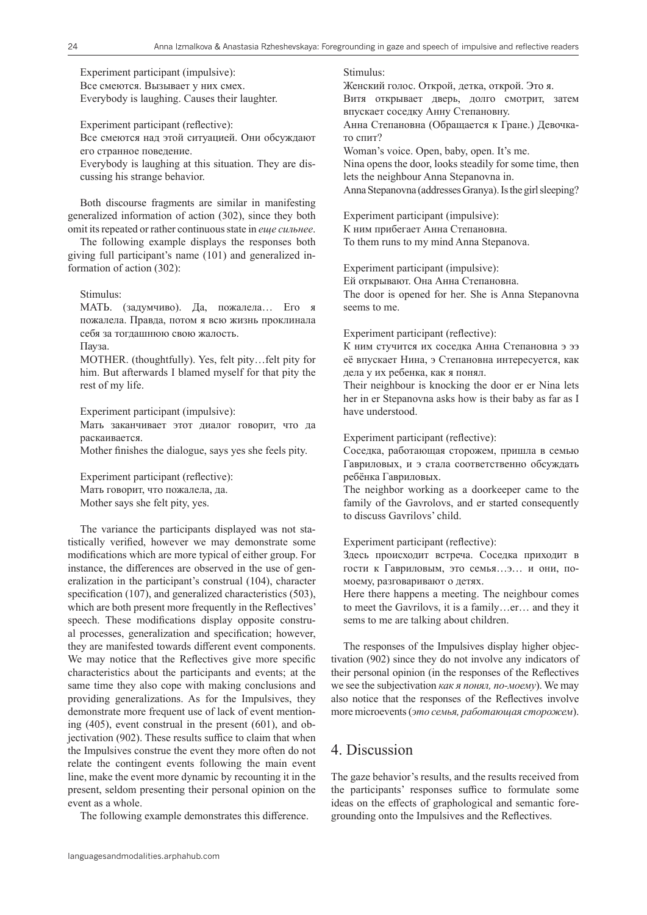Experiment participant (impulsive): Все смеются. Вызывает у них смех. Everybody is laughing. Causes their laughter.

Experiment participant (reflective):

Все смеются над этой ситуацией. Они обсуждают его странное поведение.

Everybody is laughing at this situation. They are discussing his strange behavior.

Both discourse fragments are similar in manifesting generalized information of action (302), since they both omit its repeated or rather continuous state in *еще сильнее*.

The following example displays the responses both giving full participant's name (101) and generalized information of action (302):

Stimulus:

МАТЬ. (задумчиво). Да, пожалела… Его я пожалела. Правда, потом я всю жизнь проклинала себя за тогдашнюю свою жалость.

Пауза.

MOTHER. (thoughtfully). Yes, felt pity…felt pity for him. But afterwards I blamed myself for that pity the rest of my life.

Experiment participant (impulsive):

Мать заканчивает этот диалог говорит, что да раскаивается.

Mother finishes the dialogue, says yes she feels pity.

Experiment participant (reflective): Мать говорит, что пожалела, да. Mother says she felt pity, yes.

The variance the participants displayed was not statistically verified, however we may demonstrate some modifications which are more typical of either group. For instance, the differences are observed in the use of generalization in the participant's construal (104), character specification (107), and generalized characteristics (503), which are both present more frequently in the Reflectives' speech. These modifications display opposite construal processes, generalization and specification; however, they are manifested towards different event components. We may notice that the Reflectives give more specific characteristics about the participants and events; at the same time they also cope with making conclusions and providing generalizations. As for the Impulsives, they demonstrate more frequent use of lack of event mentioning (405), event construal in the present (601), and objectivation (902). These results suffice to claim that when the Impulsives construe the event they more often do not relate the contingent events following the main event line, make the event more dynamic by recounting it in the present, seldom presenting their personal opinion on the event as a whole.

The following example demonstrates this difference.

Stimulus:

Женский голос. Открой, детка, открой. Это я. Витя открывает дверь, долго смотрит, затем впускает соседку Анну Степановну. Анна Степановна (Обращается к Гране.) Девочка-

то спит? Woman's voice. Open, baby, open. It's me. Nina opens the door, looks steadily for some time, then lets the neighbour Anna Stepanovna in. Anna Stepanovna (addresses Granya). Is the girl sleeping?

Experiment participant (impulsive): К ним прибегает Анна Степановна. To them runs to my mind Anna Stepanova.

Experiment participant (impulsive):

Ей открывают. Она Анна Степановна.

The door is opened for her. She is Anna Stepanovna seems to me.

Experiment participant (reflective):

К ним стучится их соседка Анна Степановна э ээ её впускает Нина, э Степановна интересуется, как дела у их ребенка, как я понял.

Their neighbour is knocking the door er er Nina lets her in er Stepanovna asks how is their baby as far as I have understood.

Experiment participant (reflective):

Cоседка, работающая сторожем, пришла в семью Гавриловых, и э стала соответственно обсуждать ребёнка Гавриловых.

The neighbor working as a doorkeeper came to the family of the Gavrolovs, and er started consequently to discuss Gavrilovs' child.

Experiment participant (reflective):

Здесь происходит встреча. Соседка приходит в гости к Гавриловым, это семья…э… и они, помоему, разговаривают о детях.

Here there happens a meeting. The neighbour comes to meet the Gavrilovs, it is a family…er… and they it sems to me are talking about children.

The responses of the Impulsives display higher objectivation (902) since they do not involve any indicators of their personal opinion (in the responses of the Reflectives we see the subjectivation *как я понял, по-моему*). We may also notice that the responses of the Reflectives involve more microevents (*это семья, работающая сторожем*).

## 4. Discussion

The gaze behavior's results, and the results received from the participants' responses suffice to formulate some ideas on the effects of graphological and semantic foregrounding onto the Impulsives and the Reflectives.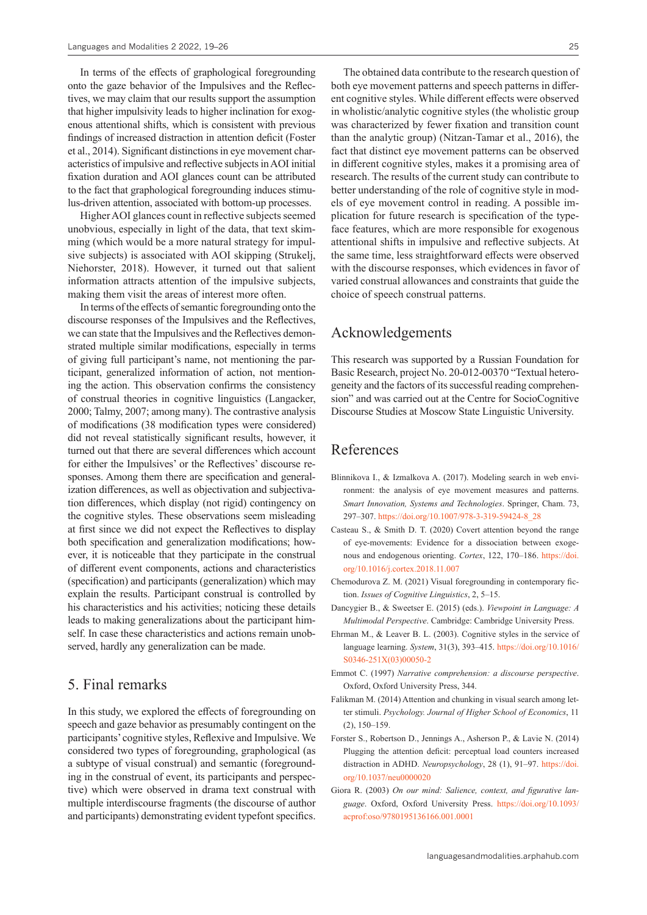In terms of the effects of graphological foregrounding onto the gaze behavior of the Impulsives and the Reflectives, we may claim that our results support the assumption that higher impulsivity leads to higher inclination for exogenous attentional shifts, which is consistent with previous findings of increased distraction in attention deficit (Foster et al., 2014). Significant distinctions in eye movement characteristics of impulsive and reflective subjects in AOI initial fixation duration and AOI glances count can be attributed to the fact that graphological foregrounding induces stimulus-driven attention, associated with bottom-up processes.

Higher AOI glances count in reflective subjects seemed unobvious, especially in light of the data, that text skimming (which would be a more natural strategy for impulsive subjects) is associated with AOI skipping (Strukelj, Niehorster, 2018). However, it turned out that salient information attracts attention of the impulsive subjects, making them visit the areas of interest more often.

In terms of the effects of semantic foregrounding onto the discourse responses of the Impulsives and the Reflectives, we can state that the Impulsives and the Reflectives demonstrated multiple similar modifications, especially in terms of giving full participant's name, not mentioning the participant, generalized information of action, not mentioning the action. This observation confirms the consistency of construal theories in cognitive linguistics (Langacker, 2000; Talmy, 2007; among many). The contrastive analysis of modifications (38 modification types were considered) did not reveal statistically significant results, however, it turned out that there are several differences which account for either the Impulsives' or the Reflectives' discourse responses. Among them there are specification and generalization differences, as well as objectivation and subjectivation differences, which display (not rigid) contingency on the cognitive styles. These observations seem misleading at first since we did not expect the Reflectives to display both specification and generalization modifications; however, it is noticeable that they participate in the construal of different event components, actions and characteristics (specification) and participants (generalization) which may explain the results. Participant construal is controlled by his characteristics and his activities; noticing these details leads to making generalizations about the participant himself. In case these characteristics and actions remain unobserved, hardly any generalization can be made.

### 5. Final remarks

In this study, we explored the effects of foregrounding on speech and gaze behavior as presumably contingent on the participants' cognitive styles, Reflexive and Impulsive. We considered two types of foregrounding, graphological (as a subtype of visual construal) and semantic (foregrounding in the construal of event, its participants and perspective) which were observed in drama text construal with multiple interdiscourse fragments (the discourse of author and participants) demonstrating evident typefont specifics.

The obtained data contribute to the research question of both eye movement patterns and speech patterns in different cognitive styles. While different effects were observed in wholistic/analytic cognitive styles (the wholistic group was characterized by fewer fixation and transition count than the analytic group) (Nitzan-Tamar et al., 2016), the fact that distinct eye movement patterns can be observed in different cognitive styles, makes it a promising area of research. The results of the current study can contribute to better understanding of the role of cognitive style in models of eye movement control in reading. A possible implication for future research is specification of the typeface features, which are more responsible for exogenous attentional shifts in impulsive and reflective subjects. At the same time, less straightforward effects were observed with the discourse responses, which evidences in favor of varied construal allowances and constraints that guide the choice of speech construal patterns.

## Acknowledgements

This research was supported by a Russian Foundation for Basic Research, project No. 20-012-00370 "Textual heterogeneity and the factors of its successful reading comprehension" and was carried out at the Centre for SocioCognitive Discourse Studies at Moscow State Linguistic University.

## References

- Blinnikova I., & Izmalkova A. (2017). Modeling search in web environment: the analysis of eye movement measures and patterns. *Smart Innovation, Systems and Technologies*. Springer, Cham. 73, 297–307. [https://doi.org/10.1007/978-3-319-59424-8\\_28](https://doi.org/10.1007/978-3-319-59424-8_28)
- Casteau S., & Smith D. T. (2020) Covert attention beyond the range of eye-movements: Evidence for a dissociation between exogenous and endogenous orienting. *Cortex*, 122, 170–186. [https://doi.](https://doi.org/10.1016/j.cortex.2018.11.007) [org/10.1016/j.cortex.2018.11.007](https://doi.org/10.1016/j.cortex.2018.11.007)
- Chemodurova Z. M. (2021) Visual foregrounding in contemporary fiction. *Issues of Cognitive Linguistics*, 2, 5–15.
- Dancygier B., & Sweetser E. (2015) (eds.). *Viewpoint in Language: A Multimodal Perspective*. Cambridge: Cambridge University Press.
- Ehrman M., & Leaver B. L. (2003). Cognitive styles in the service of language learning. *System*, 31(3), 393–415. [https://doi.org/10.1016/](https://doi.org/10.1016/S0346-251X(03)00050-2) [S0346-251X\(03\)00050-2](https://doi.org/10.1016/S0346-251X(03)00050-2)
- Emmot C. (1997) *Narrative comprehension: a discourse perspective*. Oxford, Oxford University Press, 344.
- Falikman M. (2014) Attention and chunking in visual search among letter stimuli. *Psychology. Journal of Higher School of Economics*, 11 (2), 150–159.
- Forster S., Robertson D., Jennings A., Asherson P., & Lavie N. (2014) Plugging the attention deficit: perceptual load counters increased distraction in ADHD. *Neuropsychology*, 28 (1), 91–97. [https://doi.](https://doi.org/10.1037/neu0000020) [org/10.1037/neu0000020](https://doi.org/10.1037/neu0000020)
- Giora R. (2003) *On our mind: Salience, context, and figurative language*. Oxford, Oxford University Press. [https://doi.org/10.1093/](https://doi.org/10.1093/acprof:oso/9780195136166.001.0001) [acprof:oso/9780195136166.001.0001](https://doi.org/10.1093/acprof:oso/9780195136166.001.0001)